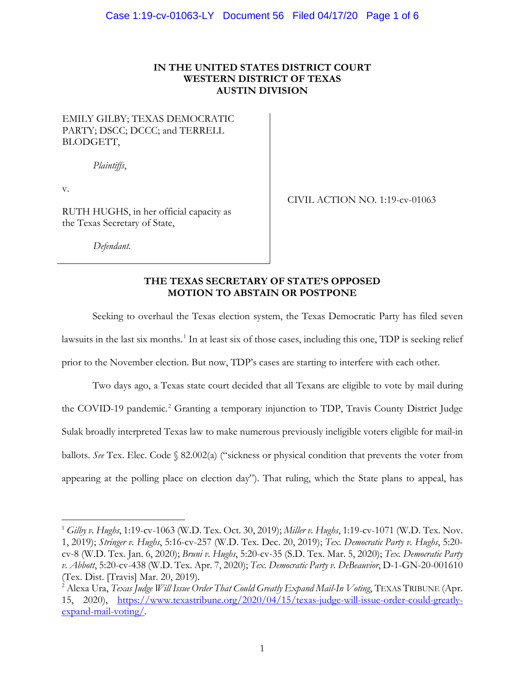## **IN THE UNITED STATES DISTRICT COURT WESTERN DISTRICT OF TEXAS AUSTIN DIVISION**

## EMILY GILBY; TEXAS DEMOCRATIC PARTY; DSCC; DCCC; and TERRELL BLODGETT,

*Plaintiffs*,

v.

 $\overline{a}$ 

RUTH HUGHS, in her official capacity as the Texas Secretary of State,

CIVIL ACTION NO. 1:19-cv-01063

*Defendant.*

#### **THE TEXAS SECRETARY OF STATE'S OPPOSED MOTION TO ABSTAIN OR POSTPONE**

Seeking to overhaul the Texas election system, the Texas Democratic Party has filed seven lawsuits in the last six months.<sup>1</sup> In at least six of those cases, including this one, TDP is seeking relief prior to the November election. But now, TDP's cases are starting to interfere with each other.

Two days ago, a Texas state court decided that all Texans are eligible to vote by mail during the COVID-19 pandemic. <sup>2</sup> Granting a temporary injunction to TDP, Travis County District Judge Sulak broadly interpreted Texas law to make numerous previously ineligible voters eligible for mail-in ballots. *See* Tex. Elec. Code § 82.002(a) ("sickness or physical condition that prevents the voter from appearing at the polling place on election day"). That ruling, which the State plans to appeal, has

<sup>1</sup> *Gilby v. Hughs*, 1:19-cv-1063 (W.D. Tex. Oct. 30, 2019); *Miller v. Hughs*, 1:19-cv-1071 (W.D. Tex. Nov. 1, 2019); *Stringer v. Hughs*, 5:16-cv-257 (W.D. Tex. Dec. 20, 2019); *Tex. Democratic Party v. Hughs*, 5:20 cv-8 (W.D. Tex. Jan. 6, 2020); *Bruni v. Hughs*, 5:20-cv-35 (S.D. Tex. Mar. 5, 2020); *Tex. Democratic Party v. Abbott*, 5:20-cv-438 (W.D. Tex. Apr. 7, 2020); *Tex. Democratic Party v. DeBeauvior*, D-1-GN-20-001610 (Tex. Dist. [Travis] Mar. 20, 2019).<br><sup>2</sup> Alexa Ura, *Texas Judge Will Issue Order That Could Greatly Expand Mail-In Voting*, TEXAS TRIBUNE (Apr.

<sup>15, 2020),</sup> https://www.texastribune.org/2020/04/15/texas-judge-will-issue-order-could-greatlyexpand-mail-voting/.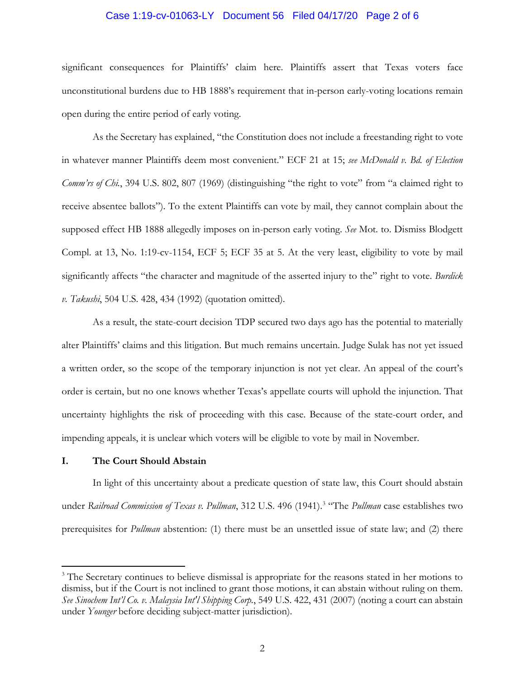#### Case 1:19-cv-01063-LY Document 56 Filed 04/17/20 Page 2 of 6

significant consequences for Plaintiffs' claim here. Plaintiffs assert that Texas voters face unconstitutional burdens due to HB 1888's requirement that in-person early-voting locations remain open during the entire period of early voting.

As the Secretary has explained, "the Constitution does not include a freestanding right to vote in whatever manner Plaintiffs deem most convenient." ECF 21 at 15; *see McDonald v. Bd. of Election Comm'rs of Chi.*, 394 U.S. 802, 807 (1969) (distinguishing "the right to vote" from "a claimed right to receive absentee ballots"). To the extent Plaintiffs can vote by mail, they cannot complain about the supposed effect HB 1888 allegedly imposes on in-person early voting. *See* Mot. to. Dismiss Blodgett Compl. at 13, No. 1:19-cv-1154, ECF 5; ECF 35 at 5. At the very least, eligibility to vote by mail significantly affects "the character and magnitude of the asserted injury to the" right to vote. *Burdick v. Takushi*, 504 U.S. 428, 434 (1992) (quotation omitted).

As a result, the state-court decision TDP secured two days ago has the potential to materially alter Plaintiffs' claims and this litigation. But much remains uncertain. Judge Sulak has not yet issued a written order, so the scope of the temporary injunction is not yet clear. An appeal of the court's order is certain, but no one knows whether Texas's appellate courts will uphold the injunction. That uncertainty highlights the risk of proceeding with this case. Because of the state-court order, and impending appeals, it is unclear which voters will be eligible to vote by mail in November.

#### **I. The Court Should Abstain**

 $\overline{a}$ 

In light of this uncertainty about a predicate question of state law, this Court should abstain under *Railroad Commission of Texas v. Pullman*, 312 U.S. 496 (1941). 3 "The *Pullman* case establishes two prerequisites for *Pullman* abstention: (1) there must be an unsettled issue of state law; and (2) there

<sup>&</sup>lt;sup>3</sup> The Secretary continues to believe dismissal is appropriate for the reasons stated in her motions to dismiss, but if the Court is not inclined to grant those motions, it can abstain without ruling on them. *See Sinochem Int'l Co. v. Malaysia Int'l Shipping Corp.*, 549 U.S. 422, 431 (2007) (noting a court can abstain under *Younger* before deciding subject-matter jurisdiction).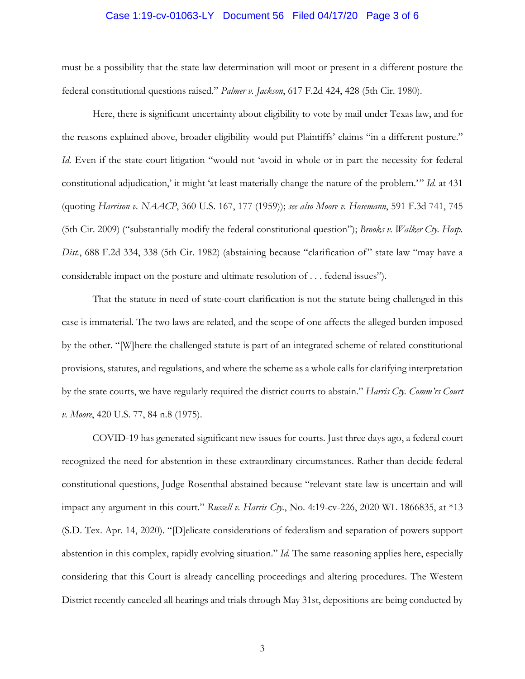#### Case 1:19-cv-01063-LY Document 56 Filed 04/17/20 Page 3 of 6

must be a possibility that the state law determination will moot or present in a different posture the federal constitutional questions raised." *Palmer v. Jackson*, 617 F.2d 424, 428 (5th Cir. 1980).

Here, there is significant uncertainty about eligibility to vote by mail under Texas law, and for the reasons explained above, broader eligibility would put Plaintiffs' claims "in a different posture." *Id.* Even if the state-court litigation "would not 'avoid in whole or in part the necessity for federal constitutional adjudication,' it might 'at least materially change the nature of the problem.'" *Id.* at 431 (quoting *Harrison v. NAACP*, 360 U.S. 167, 177 (1959)); *see also Moore v. Hosemann*, 591 F.3d 741, 745 (5th Cir. 2009) ("substantially modify the federal constitutional question"); *Brooks v. Walker Cty. Hosp. Dist.*, 688 F.2d 334, 338 (5th Cir. 1982) (abstaining because "clarification of" state law "may have a considerable impact on the posture and ultimate resolution of . . . federal issues").

That the statute in need of state-court clarification is not the statute being challenged in this case is immaterial. The two laws are related, and the scope of one affects the alleged burden imposed by the other. "[W]here the challenged statute is part of an integrated scheme of related constitutional provisions, statutes, and regulations, and where the scheme as a whole calls for clarifying interpretation by the state courts, we have regularly required the district courts to abstain." *Harris Cty. Comm'rs Court v. Moore*, 420 U.S. 77, 84 n.8 (1975).

COVID-19 has generated significant new issues for courts. Just three days ago, a federal court recognized the need for abstention in these extraordinary circumstances. Rather than decide federal constitutional questions, Judge Rosenthal abstained because "relevant state law is uncertain and will impact any argument in this court." *Russell v. Harris Cty.*, No. 4:19-cv-226, 2020 WL 1866835, at \*13 (S.D. Tex. Apr. 14, 2020). "[D]elicate considerations of federalism and separation of powers support abstention in this complex, rapidly evolving situation." *Id.* The same reasoning applies here, especially considering that this Court is already cancelling proceedings and altering procedures. The Western District recently canceled all hearings and trials through May 31st, depositions are being conducted by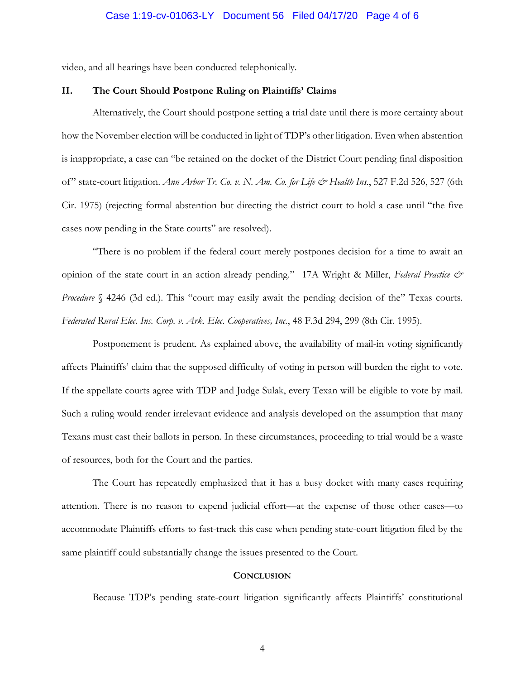video, and all hearings have been conducted telephonically.

#### **II. The Court Should Postpone Ruling on Plaintiffs' Claims**

Alternatively, the Court should postpone setting a trial date until there is more certainty about how the November election will be conducted in light of TDP's other litigation. Even when abstention is inappropriate, a case can "be retained on the docket of the District Court pending final disposition of" state-court litigation. *Ann Arbor Tr. Co. v. N. Am. Co. for Life & Health Ins.*, 527 F.2d 526, 527 (6th Cir. 1975) (rejecting formal abstention but directing the district court to hold a case until "the five cases now pending in the State courts" are resolved).

"There is no problem if the federal court merely postpones decision for a time to await an opinion of the state court in an action already pending." 17A Wright & Miller, *Federal Practice & Procedure* § 4246 (3d ed.). This "court may easily await the pending decision of the" Texas courts. *Federated Rural Elec. Ins. Corp. v. Ark. Elec. Cooperatives, Inc.*, 48 F.3d 294, 299 (8th Cir. 1995).

Postponement is prudent. As explained above, the availability of mail-in voting significantly affects Plaintiffs' claim that the supposed difficulty of voting in person will burden the right to vote. If the appellate courts agree with TDP and Judge Sulak, every Texan will be eligible to vote by mail. Such a ruling would render irrelevant evidence and analysis developed on the assumption that many Texans must cast their ballots in person. In these circumstances, proceeding to trial would be a waste of resources, both for the Court and the parties.

The Court has repeatedly emphasized that it has a busy docket with many cases requiring attention. There is no reason to expend judicial effort—at the expense of those other cases—to accommodate Plaintiffs efforts to fast-track this case when pending state-court litigation filed by the same plaintiff could substantially change the issues presented to the Court.

## **CONCLUSION**

Because TDP's pending state-court litigation significantly affects Plaintiffs' constitutional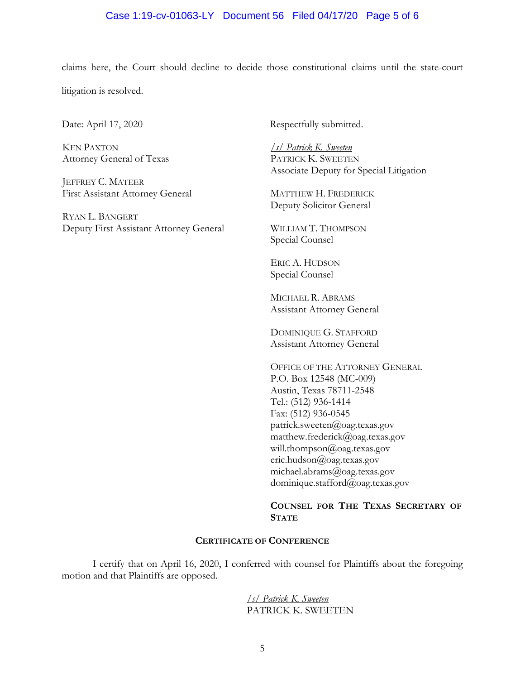## Case 1:19-cv-01063-LY Document 56 Filed 04/17/20 Page 5 of 6

claims here, the Court should decline to decide those constitutional claims until the state-court

litigation is resolved.

KEN PAXTON Attorney General of Texas

JEFFREY C. MATEER First Assistant Attorney General

RYAN L. BANGERT Deputy First Assistant Attorney General

Date: April 17, 2020 Respectfully submitted.

*/s/ Patrick K. Sweeten* PATRICK K. SWEETEN Associate Deputy for Special Litigation

MATTHEW H. FREDERICK Deputy Solicitor General

WILLIAM T. THOMPSON Special Counsel

ERIC A. HUDSON Special Counsel

MICHAEL R. ABRAMS Assistant Attorney General

DOMINIQUE G. STAFFORD Assistant Attorney General

OFFICE OF THE ATTORNEY GENERAL P.O. Box 12548 (MC-009) Austin, Texas 78711-2548 Tel.: (512) 936-1414 Fax: (512) 936-0545 patrick.sweeten@oag.texas.gov matthew.frederick@oag.texas.gov will.thompson@oag.texas.gov eric.hudson@oag.texas.gov michael.abrams@oag.texas.gov dominique.stafford@oag.texas.gov

**COUNSEL FOR THE TEXAS SECRETARY OF STATE**

#### **CERTIFICATE OF CONFERENCE**

I certify that on April 16, 2020, I conferred with counsel for Plaintiffs about the foregoing motion and that Plaintiffs are opposed.

> */s/ Patrick K. Sweeten* PATRICK K. SWEETEN